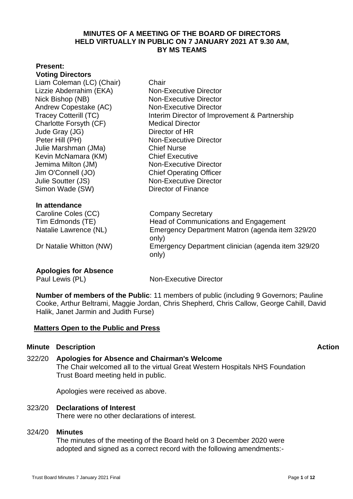#### **MINUTES OF A MEETING OF THE BOARD OF DIRECTORS HELD VIRTUALLY IN PUBLIC ON 7 JANUARY 2021 AT 9.30 AM, BY MS TEAMS**

#### **Present:**

**Voting Directors** Liam Coleman (LC) (Chair) Chair Lizzie Abderrahim (EKA) Non-Executive Director Nick Bishop (NB) Non-Executive Director Andrew Copestake (AC) Non-Executive Director Tracey Cotterill (TC) Interim Director of Improvement & Partnership Charlotte Forsyth (CF) Medical Director Jude Gray (JG) Director of HR Peter Hill (PH) Non-Executive Director Julie Marshman (JMa) Chief Nurse Kevin McNamara (KM) Chief Executive Jemima Milton (JM) Non-Executive Director Jim O'Connell (JO) Chief Operating Officer Julie Soutter (JS) Simon Wade (SW)

#### **In attendance**

Caroline Coles (CC) Company Secretary Tim Edmonds (TE) Head of Communications and Engagement Natalie Lawrence (NL) Emergency Department Matron (agenda item 329/20

Dr Natalie Whitton (NW) Emergency Department clinician (agenda item 329/20

# **Apologies for Absence**

Paul Lewis (PL) Non-Executive Director

Non-Executive Director Director of Finance

 **Number of members of the Public**: 11 members of public (including 9 Governors; Pauline Cooke, Arthur Beltrami, Maggie Jordan, Chris Shepherd, Chris Callow, George Cahill, David Halik, Janet Jarmin and Judith Furse)

### **Matters Open to the Public and Press**

### **Minute Description Action**

322/20 **Apologies for Absence and Chairman's Welcome**  The Chair welcomed all to the virtual Great Western Hospitals NHS Foundation Trust Board meeting held in public.

only)

only)

Apologies were received as above.

323/20 **Declarations of Interest** There were no other declarations of interest.

# 324/20 **Minutes**

The minutes of the meeting of the Board held on 3 December 2020 were adopted and signed as a correct record with the following amendments:-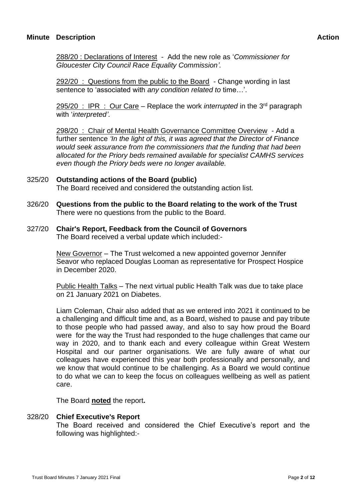288/20 : Declarations of Interest - Add the new role as '*Commissioner for Gloucester City Council Race Equality Commission'.*

292/20 : Questions from the public to the Board - Change wording in last sentence to 'associated with *any condition related to* time…'.

295/20 : IPR : Our Care – Replace the work *interrupted* in the 3<sup>rd</sup> paragraph with '*interpreted'.*

298/20 : Chair of Mental Health Governance Committee Overview - Add a further sentence *'In the light of this, it was agreed that the Director of Finance would seek assurance from the commissioners that the funding that had been allocated for the Priory beds remained available for specialist CAMHS services even though the Priory beds were no longer available.* 

#### 325/20 **Outstanding actions of the Board (public)**

The Board received and considered the outstanding action list.

326/20 **Questions from the public to the Board relating to the work of the Trust** There were no questions from the public to the Board.

# 327/20 **Chair's Report, Feedback from the Council of Governors**

The Board received a verbal update which included:-

New Governor – The Trust welcomed a new appointed governor Jennifer Seavor who replaced Douglas Looman as representative for Prospect Hospice in December 2020.

Public Health Talks – The next virtual public Health Talk was due to take place on 21 January 2021 on Diabetes.

Liam Coleman, Chair also added that as we entered into 2021 it continued to be a challenging and difficult time and, as a Board, wished to pause and pay tribute to those people who had passed away, and also to say how proud the Board were for the way the Trust had responded to the huge challenges that came our way in 2020, and to thank each and every colleague within Great Western Hospital and our partner organisations. We are fully aware of what our colleagues have experienced this year both professionally and personally, and we know that would continue to be challenging. As a Board we would continue to do what we can to keep the focus on colleagues wellbeing as well as patient care.

The Board **noted** the report**.**

#### 328/20 **Chief Executive's Report**

The Board received and considered the Chief Executive's report and the following was highlighted:-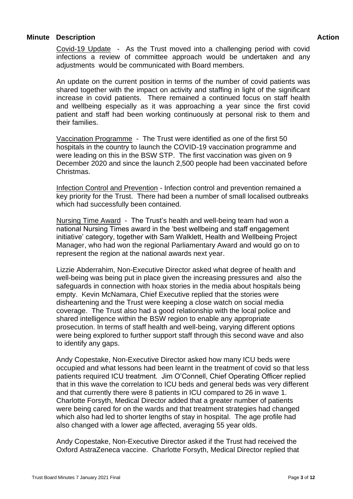Covid-19 Update - As the Trust moved into a challenging period with covid infections a review of committee approach would be undertaken and any adjustments would be communicated with Board members.

An update on the current position in terms of the number of covid patients was shared together with the impact on activity and staffing in light of the significant increase in covid patients. There remained a continued focus on staff health and wellbeing especially as it was approaching a year since the first covid patient and staff had been working continuously at personal risk to them and their families.

Vaccination Programme - The Trust were identified as one of the first 50 hospitals in the country to launch the COVID-19 vaccination programme and were leading on this in the BSW STP. The first vaccination was given on 9 December 2020 and since the launch 2,500 people had been vaccinated before Christmas.

Infection Control and Prevention - Infection control and prevention remained a key priority for the Trust. There had been a number of small localised outbreaks which had successfully been contained.

Nursing Time Award - The Trust's health and well-being team had won a national Nursing Times award in the 'best wellbeing and staff engagement initiative' category, together with Sam Walklett, Health and Wellbeing Project Manager, who had won the regional Parliamentary Award and would go on to represent the region at the national awards next year.

Lizzie Abderrahim, Non-Executive Director asked what degree of health and well-being was being put in place given the increasing pressures and also the safeguards in connection with hoax stories in the media about hospitals being empty. Kevin McNamara, Chief Executive replied that the stories were disheartening and the Trust were keeping a close watch on social media coverage. The Trust also had a good relationship with the local police and shared intelligence within the BSW region to enable any appropriate prosecution. In terms of staff health and well-being, varying different options were being explored to further support staff through this second wave and also to identify any gaps.

Andy Copestake, Non-Executive Director asked how many ICU beds were occupied and what lessons had been learnt in the treatment of covid so that less patients required ICU treatment. Jim O'Connell, Chief Operating Officer replied that in this wave the correlation to ICU beds and general beds was very different and that currently there were 8 patients in ICU compared to 26 in wave 1. Charlotte Forsyth, Medical Director added that a greater number of patients were being cared for on the wards and that treatment strategies had changed which also had led to shorter lengths of stay in hospital. The age profile had also changed with a lower age affected, averaging 55 year olds.

Andy Copestake, Non-Executive Director asked if the Trust had received the Oxford AstraZeneca vaccine. Charlotte Forsyth, Medical Director replied that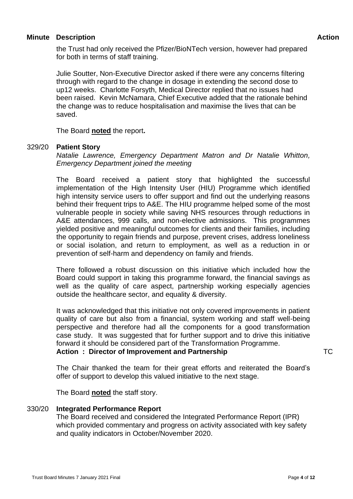the Trust had only received the Pfizer/BioNTech version, however had prepared for both in terms of staff training.

Julie Soutter, Non-Executive Director asked if there were any concerns filtering through with regard to the change in dosage in extending the second dose to up12 weeks. Charlotte Forsyth, Medical Director replied that no issues had been raised. Kevin McNamara, Chief Executive added that the rationale behind the change was to reduce hospitalisation and maximise the lives that can be saved.

The Board **noted** the report**.**

#### 329/20 **Patient Story**

*Natalie Lawrence, Emergency Department Matron and Dr Natalie Whitton, Emergency Department joined the meeting* 

The Board received a patient story that highlighted the successful implementation of the High Intensity User (HIU) Programme which identified high intensity service users to offer support and find out the underlying reasons behind their frequent trips to A&E. The HIU programme helped some of the most vulnerable people in society while saving NHS resources through reductions in A&E attendances, 999 calls, and non-elective admissions. This programmes yielded positive and meaningful outcomes for clients and their families, including the opportunity to regain friends and purpose, prevent crises, address loneliness or social isolation, and return to employment, as well as a reduction in or prevention of self-harm and dependency on family and friends.

There followed a robust discussion on this initiative which included how the Board could support in taking this programme forward, the financial savings as well as the quality of care aspect, partnership working especially agencies outside the healthcare sector, and equality & diversity.

It was acknowledged that this initiative not only covered improvements in patient quality of care but also from a financial, system working and staff well-being perspective and therefore had all the components for a good transformation case study. It was suggested that for further support and to drive this initiative forward it should be considered part of the Transformation Programme.

**Action : Director of Improvement and Partnership**

The Chair thanked the team for their great efforts and reiterated the Board's offer of support to develop this valued initiative to the next stage.

The Board **noted** the staff story.

### 330/20 **Integrated Performance Report**

The Board received and considered the Integrated Performance Report (IPR) which provided commentary and progress on activity associated with key safety and quality indicators in October/November 2020.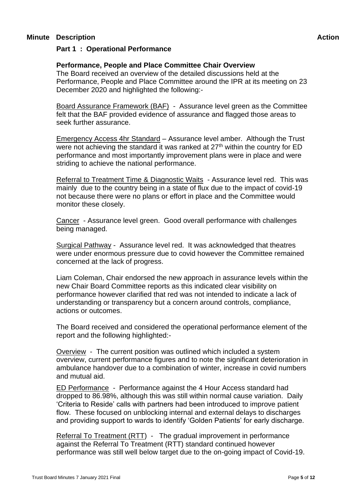### **Part 1 : Operational Performance**

#### **Performance, People and Place Committee Chair Overview**

The Board received an overview of the detailed discussions held at the Performance, People and Place Committee around the IPR at its meeting on 23 December 2020 and highlighted the following:-

Board Assurance Framework (BAF) - Assurance level green as the Committee felt that the BAF provided evidence of assurance and flagged those areas to seek further assurance.

Emergency Access 4hr Standard – Assurance level amber. Although the Trust were not achieving the standard it was ranked at  $27<sup>th</sup>$  within the country for ED performance and most importantly improvement plans were in place and were striding to achieve the national performance.

Referral to Treatment Time & Diagnostic Waits - Assurance level red. This was mainly due to the country being in a state of flux due to the impact of covid-19 not because there were no plans or effort in place and the Committee would monitor these closely.

Cancer - Assurance level green. Good overall performance with challenges being managed.

Surgical Pathway - Assurance level red. It was acknowledged that theatres were under enormous pressure due to covid however the Committee remained concerned at the lack of progress.

Liam Coleman, Chair endorsed the new approach in assurance levels within the new Chair Board Committee reports as this indicated clear visibility on performance however clarified that red was not intended to indicate a lack of understanding or transparency but a concern around controls, compliance, actions or outcomes.

The Board received and considered the operational performance element of the report and the following highlighted:-

Overview - The current position was outlined which included a system overview, current performance figures and to note the significant deterioration in ambulance handover due to a combination of winter, increase in covid numbers and mutual aid.

ED Performance - Performance against the 4 Hour Access standard had dropped to 86.98%, although this was still within normal cause variation. Daily 'Criteria to Reside' calls with partners had been introduced to improve patient flow. These focused on unblocking internal and external delays to discharges and providing support to wards to identify 'Golden Patients' for early discharge.

Referral To Treatment (RTT) - The gradual improvement in performance against the Referral To Treatment (RTT) standard continued however performance was still well below target due to the on-going impact of Covid-19.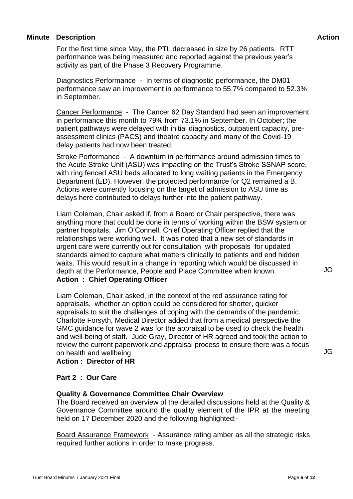For the first time since May, the PTL decreased in size by 26 patients. RTT performance was being measured and reported against the previous year's activity as part of the Phase 3 Recovery Programme.

Diagnostics Performance - In terms of diagnostic performance, the DM01 performance saw an improvement in performance to 55.7% compared to 52.3% in September.

Cancer Performance - The Cancer 62 Day Standard had seen an improvement in performance this month to 79% from 73.1% in September. In October; the patient pathways were delayed with initial diagnostics, outpatient capacity, preassessment clinics (PACS) and theatre capacity and many of the Covid-19 delay patients had now been treated.

Stroke Performance - A downturn in performance around admission times to the Acute Stroke Unit (ASU) was impacting on the Trust's Stroke SSNAP score, with ring fenced ASU beds allocated to long waiting patients in the Emergency Department (ED). However, the projected performance for Q2 remained a B. Actions were currently focusing on the target of admission to ASU time as delays here contributed to delays further into the patient pathway.

Liam Coleman, Chair asked if, from a Board or Chair perspective, there was anything more that could be done in terms of working within the BSW system or partner hospitals. Jim O'Connell, Chief Operating Officer replied that the relationships were working well. It was noted that a new set of standards in urgent care were currently out for consultation with proposals for updated standards aimed to capture what matters clinically to patients and end hidden waits. This would result in a change in reporting which would be discussed in depth at the Performance, People and Place Committee when known. **Action : Chief Operating Officer**

Liam Coleman, Chair asked, in the context of the red assurance rating for appraisals, whether an option could be considered for shorter, quicker appraisals to suit the challenges of coping with the demands of the pandemic. Charlotte Forsyth, Medical Director added that from a medical perspective the GMC guidance for wave 2 was for the appraisal to be used to check the health and well-being of staff. Jude Gray, Director of HR agreed and took the action to review the current paperwork and appraisal process to ensure there was a focus on health and wellbeing.

**Action : Director of HR**

### **Part 2 : Our Care**

### **Quality & Governance Committee Chair Overview**

The Board received an overview of the detailed discussions held at the Quality & Governance Committee around the quality element of the IPR at the meeting held on 17 December 2020 and the following highlighted:-

Board Assurance Framework - Assurance rating amber as all the strategic risks required further actions in order to make progress.

JG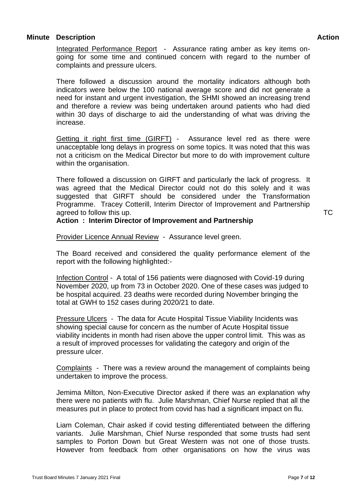Integrated Performance Report - Assurance rating amber as key items ongoing for some time and continued concern with regard to the number of complaints and pressure ulcers.

There followed a discussion around the mortality indicators although both indicators were below the 100 national average score and did not generate a need for instant and urgent investigation, the SHMI showed an increasing trend and therefore a review was being undertaken around patients who had died within 30 days of discharge to aid the understanding of what was driving the increase.

Getting it right first time (GIRFT) - Assurance level red as there were unacceptable long delays in progress on some topics. It was noted that this was not a criticism on the Medical Director but more to do with improvement culture within the organisation.

There followed a discussion on GIRFT and particularly the lack of progress. It was agreed that the Medical Director could not do this solely and it was suggested that GIRFT should be considered under the Transformation Programme. Tracey Cotterill, Interim Director of Improvement and Partnership agreed to follow this up.

#### **Action : Interim Director of Improvement and Partnership**

Provider Licence Annual Review - Assurance level green.

The Board received and considered the quality performance element of the report with the following highlighted:-

Infection Control - A total of 156 patients were diagnosed with Covid-19 during November 2020, up from 73 in October 2020. One of these cases was judged to be hospital acquired. 23 deaths were recorded during November bringing the total at GWH to 152 cases during 2020/21 to date.

Pressure Ulcers - The data for Acute Hospital Tissue Viability Incidents was showing special cause for concern as the number of Acute Hospital tissue viability incidents in month had risen above the upper control limit. This was as a result of improved processes for validating the category and origin of the pressure ulcer.

Complaints - There was a review around the management of complaints being undertaken to improve the process.

Jemima Milton, Non-Executive Director asked if there was an explanation why there were no patients with flu. Julie Marshman, Chief Nurse replied that all the measures put in place to protect from covid has had a significant impact on flu.

Liam Coleman, Chair asked if covid testing differentiated between the differing variants. Julie Marshman, Chief Nurse responded that some trusts had sent samples to Porton Down but Great Western was not one of those trusts. However from feedback from other organisations on how the virus was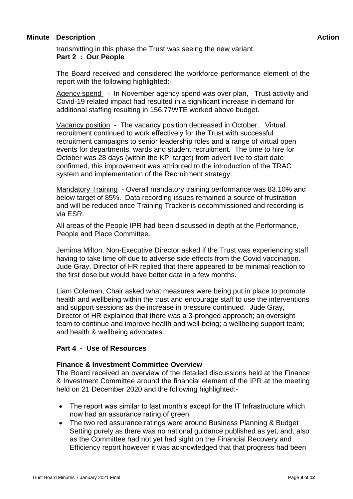transmitting in this phase the Trust was seeing the new variant. **Part 2 : Our People**

The Board received and considered the workforce performance element of the report with the following highlighted:-

Agency spend - In November agency spend was over plan, Trust activity and Covid-19 related impact had resulted in a significant increase in demand for additional staffing resulting in 156.77WTE worked above budget.

Vacancy position - The vacancy position decreased in October. Virtual recruitment continued to work effectively for the Trust with successful recruitment campaigns to senior leadership roles and a range of virtual open events for departments, wards and student recruitment. The time to hire for October was 28 days (within the KPI target) from advert live to start date confirmed, this improvement was attributed to the introduction of the TRAC system and implementation of the Recruitment strategy.

Mandatory Training - Overall mandatory training performance was 83.10% and below target of 85%. Data recording issues remained a source of frustration and will be reduced once Training Tracker is decommissioned and recording is via ESR.

All areas of the People IPR had been discussed in depth at the Performance, People and Place Committee.

Jemima Milton, Non-Executive Director asked if the Trust was experiencing staff having to take time off due to adverse side effects from the Covid vaccination. Jude Gray, Director of HR replied that there appeared to be minimal reaction to the first dose but would have better data in a few months.

Liam Coleman, Chair asked what measures were being put in place to promote health and wellbeing within the trust and encourage staff to use the interventions and support sessions as the increase in pressure continued. Jude Gray, Director of HR explained that there was a 3-pronged approach; an oversight team to continue and improve health and well-being; a wellbeing support team; and health & wellbeing advocates.

#### **Part 4 - Use of Resources**

#### **Finance & Investment Committee Overview**

The Board received an overview of the detailed discussions held at the Finance & Investment Committee around the financial element of the IPR at the meeting held on 21 December 2020 and the following highlighted:-

- The report was similar to last month's except for the IT Infrastructure which now had an assurance rating of green.
- The two red assurance ratings were around Business Planning & Budget Setting purely as there was no national guidance published as yet, and, also as the Committee had not yet had sight on the Financial Recovery and Efficiency report however it was acknowledged that that progress had been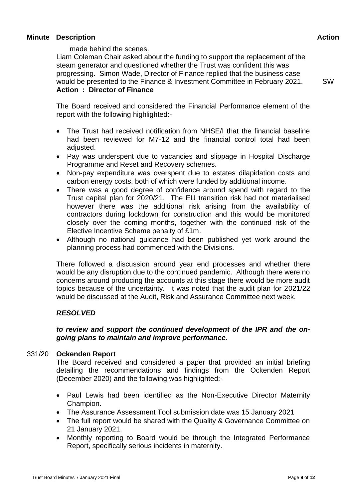made behind the scenes.

Liam Coleman Chair asked about the funding to support the replacement of the steam generator and questioned whether the Trust was confident this was progressing. Simon Wade, Director of Finance replied that the business case would be presented to the Finance & Investment Committee in February 2021. **Action : Director of Finance**

SW

The Board received and considered the Financial Performance element of the report with the following highlighted:-

- The Trust had received notification from NHSE/I that the financial baseline had been reviewed for M7-12 and the financial control total had been adiusted.
- Pay was underspent due to vacancies and slippage in Hospital Discharge Programme and Reset and Recovery schemes.
- Non-pay expenditure was overspent due to estates dilapidation costs and carbon energy costs, both of which were funded by additional income.
- There was a good degree of confidence around spend with regard to the Trust capital plan for 2020/21. The EU transition risk had not materialised however there was the additional risk arising from the availability of contractors during lockdown for construction and this would be monitored closely over the coming months, together with the continued risk of the Elective Incentive Scheme penalty of £1m.
- Although no national guidance had been published yet work around the planning process had commenced with the Divisions.

There followed a discussion around year end processes and whether there would be any disruption due to the continued pandemic. Although there were no concerns around producing the accounts at this stage there would be more audit topics because of the uncertainty. It was noted that the audit plan for 2021/22 would be discussed at the Audit, Risk and Assurance Committee next week.

### *RESOLVED*

#### *to review and support the continued development of the IPR and the ongoing plans to maintain and improve performance.*

#### 331/20 **Ockenden Report**

The Board received and considered a paper that provided an initial briefing detailing the recommendations and findings from the Ockenden Report (December 2020) and the following was highlighted:-

- Paul Lewis had been identified as the Non-Executive Director Maternity Champion.
- The Assurance Assessment Tool submission date was 15 January 2021
- The full report would be shared with the Quality & Governance Committee on 21 January 2021.
- Monthly reporting to Board would be through the Integrated Performance Report, specifically serious incidents in maternity.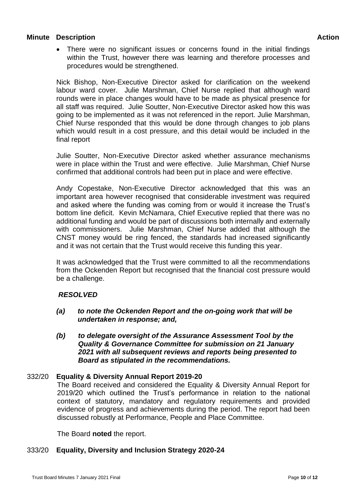• There were no significant issues or concerns found in the initial findings within the Trust, however there was learning and therefore processes and procedures would be strengthened.

Nick Bishop, Non-Executive Director asked for clarification on the weekend labour ward cover. Julie Marshman, Chief Nurse replied that although ward rounds were in place changes would have to be made as physical presence for all staff was required. Julie Soutter, Non-Executive Director asked how this was going to be implemented as it was not referenced in the report. Julie Marshman, Chief Nurse responded that this would be done through changes to job plans which would result in a cost pressure, and this detail would be included in the final report

Julie Soutter, Non-Executive Director asked whether assurance mechanisms were in place within the Trust and were effective. Julie Marshman, Chief Nurse confirmed that additional controls had been put in place and were effective.

Andy Copestake, Non-Executive Director acknowledged that this was an important area however recognised that considerable investment was required and asked where the funding was coming from or would it increase the Trust's bottom line deficit. Kevin McNamara, Chief Executive replied that there was no additional funding and would be part of discussions both internally and externally with commissioners. Julie Marshman, Chief Nurse added that although the CNST money would be ring fenced, the standards had increased significantly and it was not certain that the Trust would receive this funding this year.

It was acknowledged that the Trust were committed to all the recommendations from the Ockenden Report but recognised that the financial cost pressure would be a challenge.

### *RESOLVED*

- *(a) to note the Ockenden Report and the on-going work that will be undertaken in response; and,*
- *(b) to delegate oversight of the Assurance Assessment Tool by the Quality & Governance Committee for submission on 21 January 2021 with all subsequent reviews and reports being presented to Board as stipulated in the recommendations.*

### 332/20 **Equality & Diversity Annual Report 2019-20**

The Board received and considered the Equality & Diversity Annual Report for 2019/20 which outlined the Trust's performance in relation to the national context of statutory, mandatory and regulatory requirements and provided evidence of progress and achievements during the period. The report had been discussed robustly at Performance, People and Place Committee.

The Board **noted** the report.

#### 333/20 **Equality, Diversity and Inclusion Strategy 2020-24**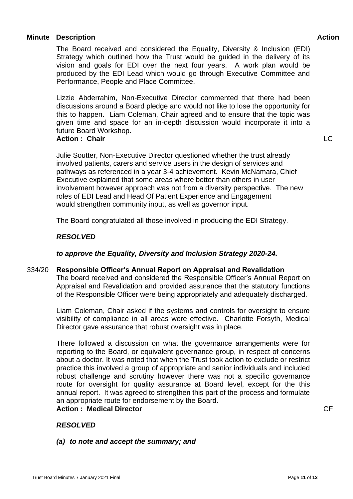The Board received and considered the Equality, Diversity & Inclusion (EDI) Strategy which outlined how the Trust would be guided in the delivery of its vision and goals for EDI over the next four years. A work plan would be produced by the EDI Lead which would go through Executive Committee and Performance, People and Place Committee.

Lizzie Abderrahim, Non-Executive Director commented that there had been discussions around a Board pledge and would not like to lose the opportunity for this to happen. Liam Coleman, Chair agreed and to ensure that the topic was given time and space for an in-depth discussion would incorporate it into a future Board Workshop.

#### **Action : Chair**

Julie Soutter, Non-Executive Director questioned whether the trust already involved patients, carers and service users in the design of services and pathways as referenced in a year 3-4 achievement. Kevin McNamara, Chief Executive explained that some areas where better than others in user involvement however approach was not from a diversity perspective. The new roles of EDI Lead and Head Of Patient Experience and Engagement would strengthen community input, as well as governor input.

The Board congratulated all those involved in producing the EDI Strategy.

### *RESOLVED*

### *to approve the Equality, Diversity and Inclusion Strategy 2020-24.*

#### 334/20 **Responsible Officer's Annual Report on Appraisal and Revalidation**

The board received and considered the Responsible Officer's Annual Report on Appraisal and Revalidation and provided assurance that the statutory functions of the Responsible Officer were being appropriately and adequately discharged.

Liam Coleman, Chair asked if the systems and controls for oversight to ensure visibility of compliance in all areas were effective. Charlotte Forsyth, Medical Director gave assurance that robust oversight was in place.

There followed a discussion on what the governance arrangements were for reporting to the Board, or equivalent governance group, in respect of concerns about a doctor. It was noted that when the Trust took action to exclude or restrict practice this involved a group of appropriate and senior individuals and included robust challenge and scrutiny however there was not a specific governance route for oversight for quality assurance at Board level, except for the this annual report. It was agreed to strengthen this part of the process and formulate an appropriate route for endorsement by the Board.

## **Action : Medical Director**

#### CF

# *RESOLVED*

#### *(a) to note and accept the summary; and*